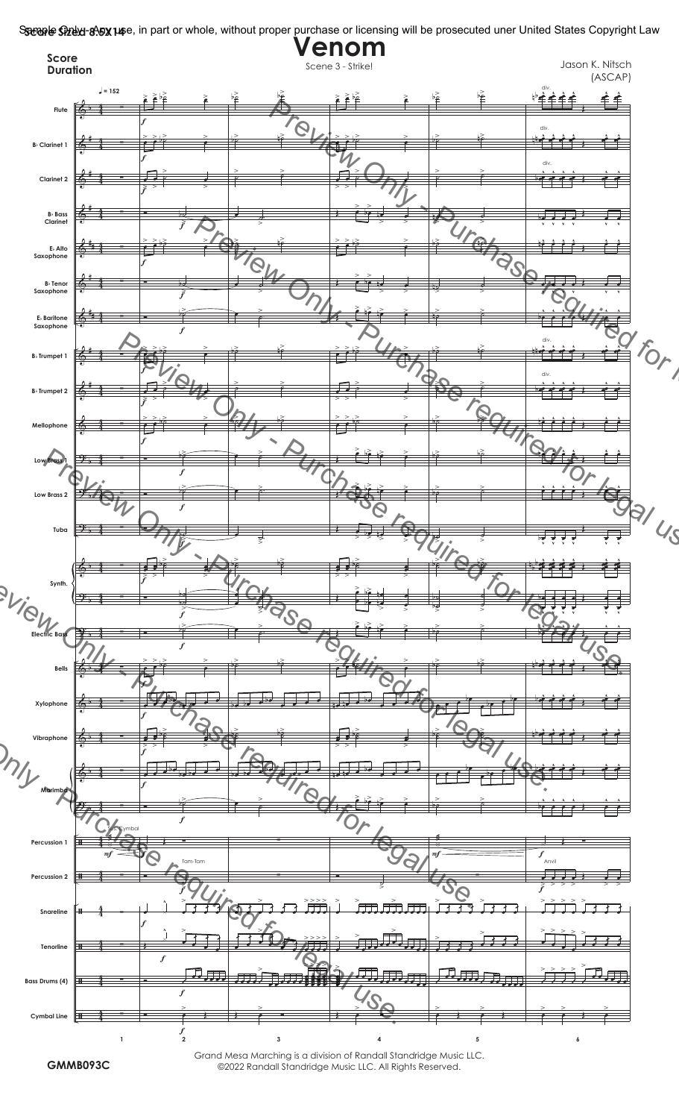**Sanyle Ghuu 8.5x14**e, in part or whole, without proper purchase or licensing will be prosecuted uner United States Copyright Law



©2022 Randall Standridge Music LLC. All Rights Reserved.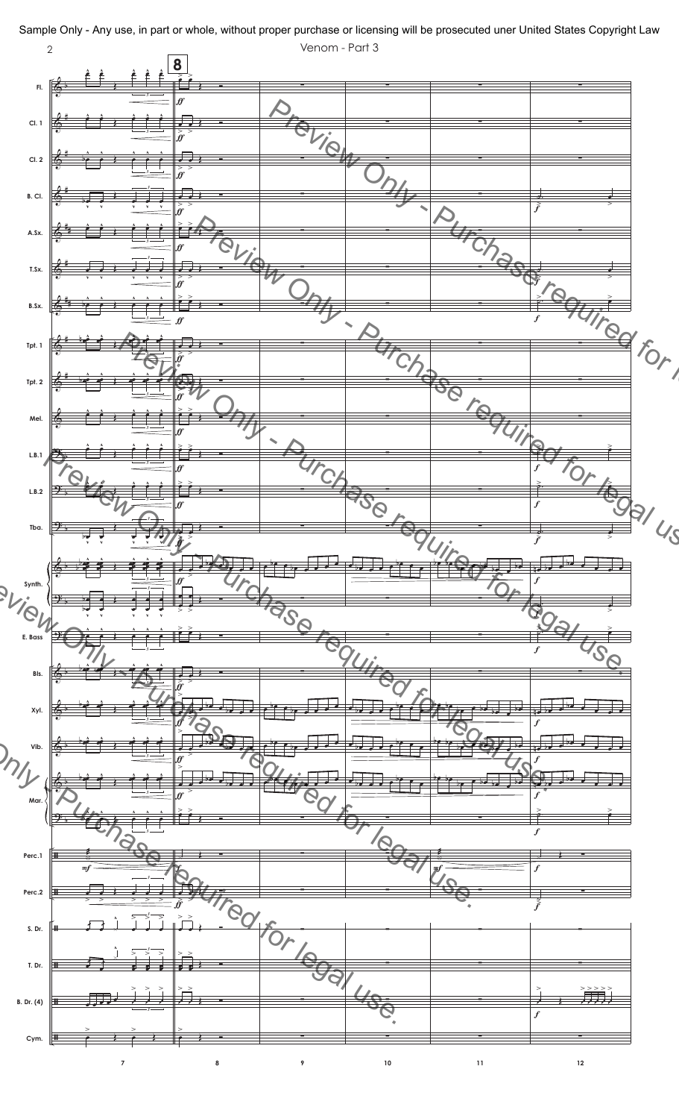

Sample Only - Any use, in part or whole, without proper purchase or licensing will be prosecuted uner United States Copyright Law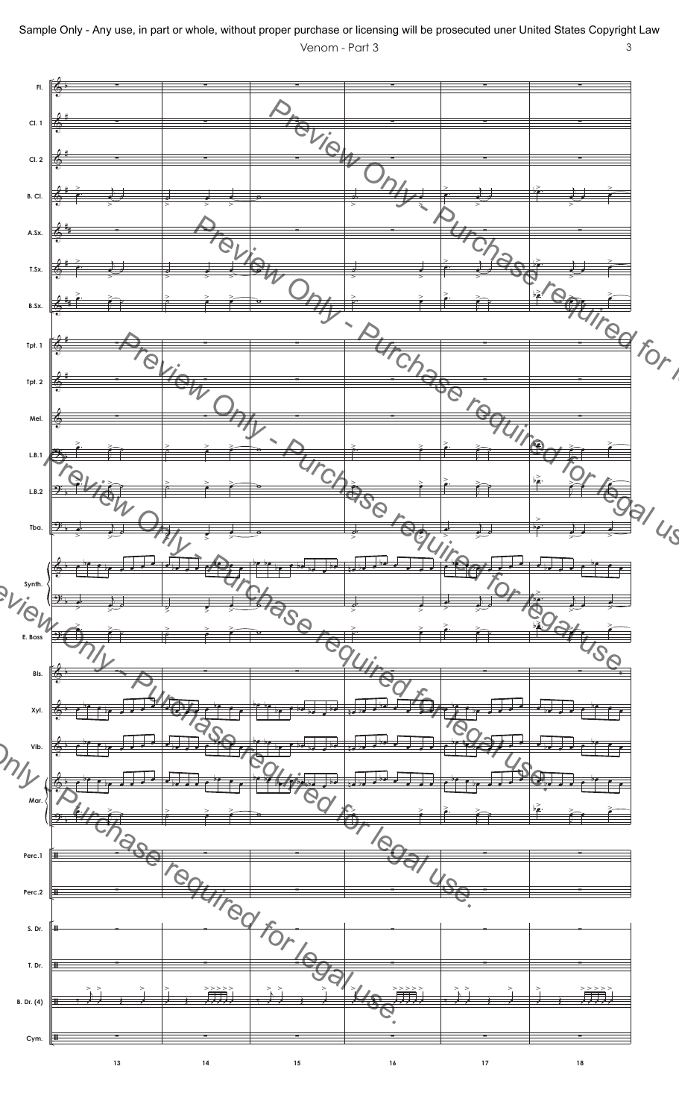

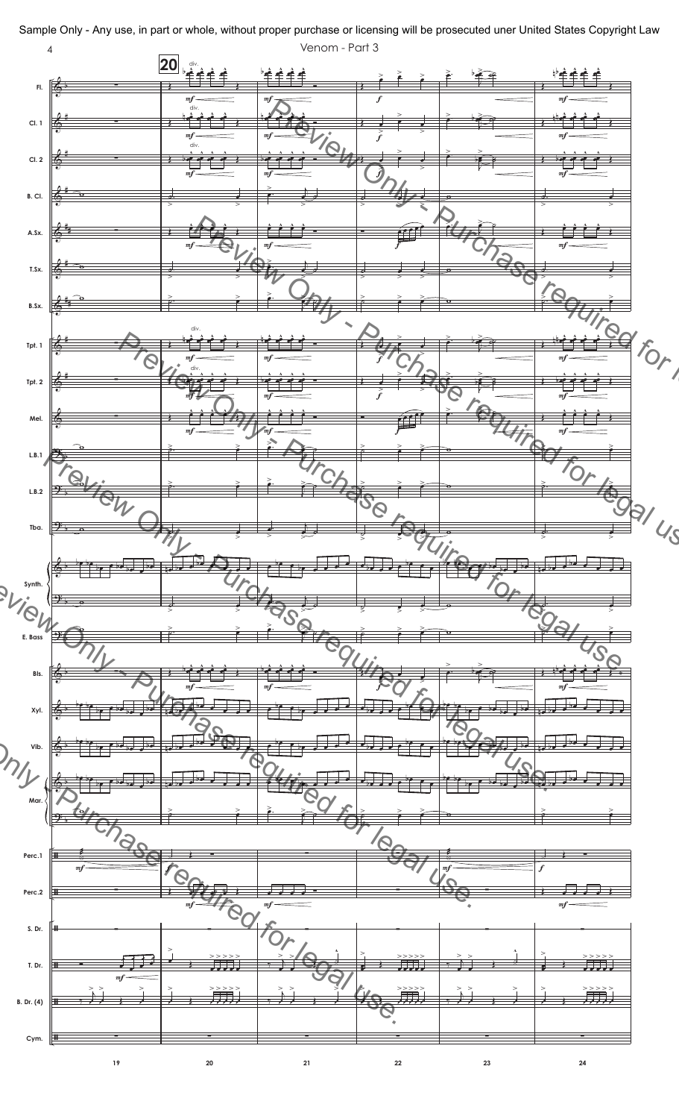

Sample Only - Any use, in part or whole, without proper purchase or licensing will be prosecuted uner United States Copyright Law Venom - Part 3  $\overline{4}$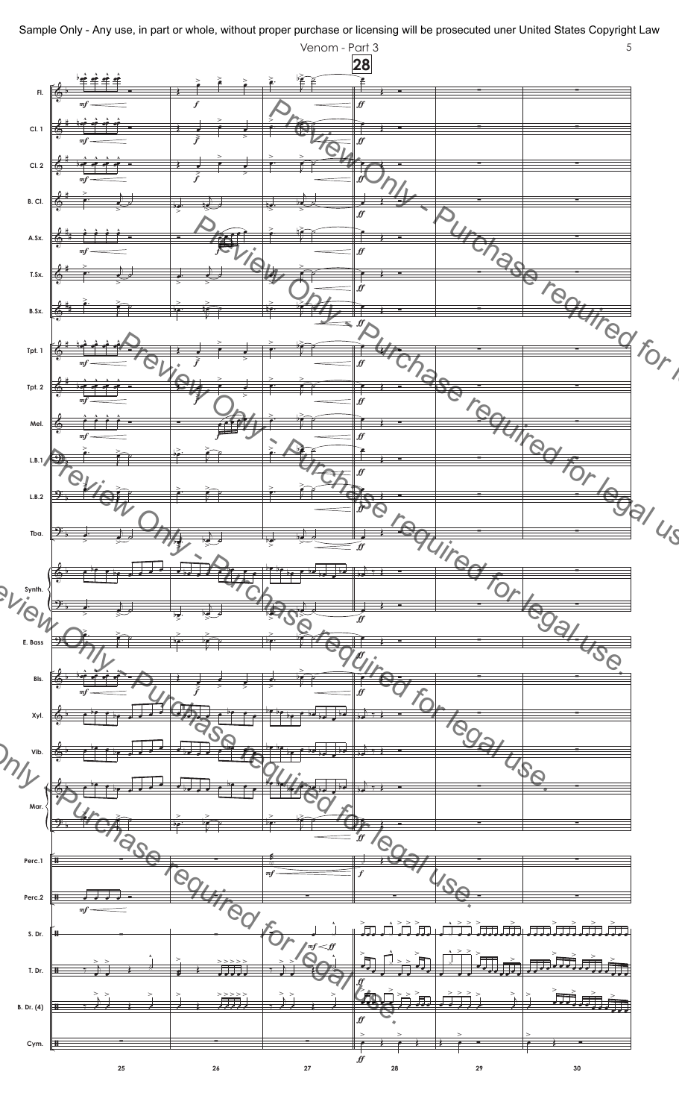

Sample Only - Any use, in part or whole, without proper purchase or licensing will be prosecuted uner United States Copyright Law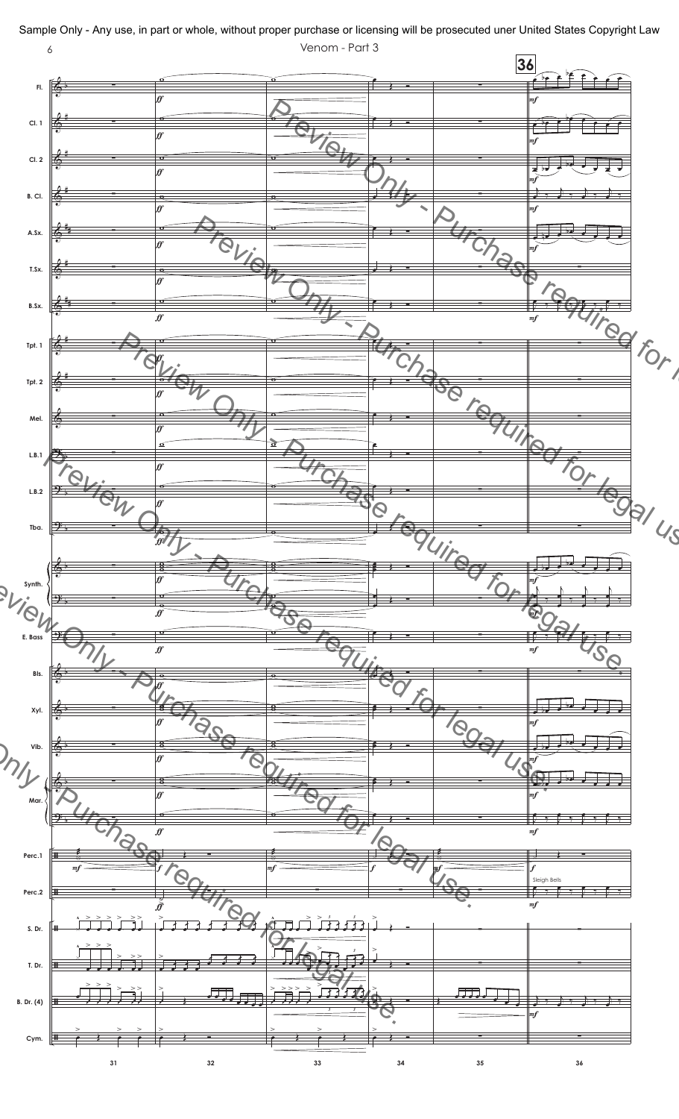

Sample Only - Any use, in part or whole, without proper purchase or licensing will be prosecuted uner United States Copyright Law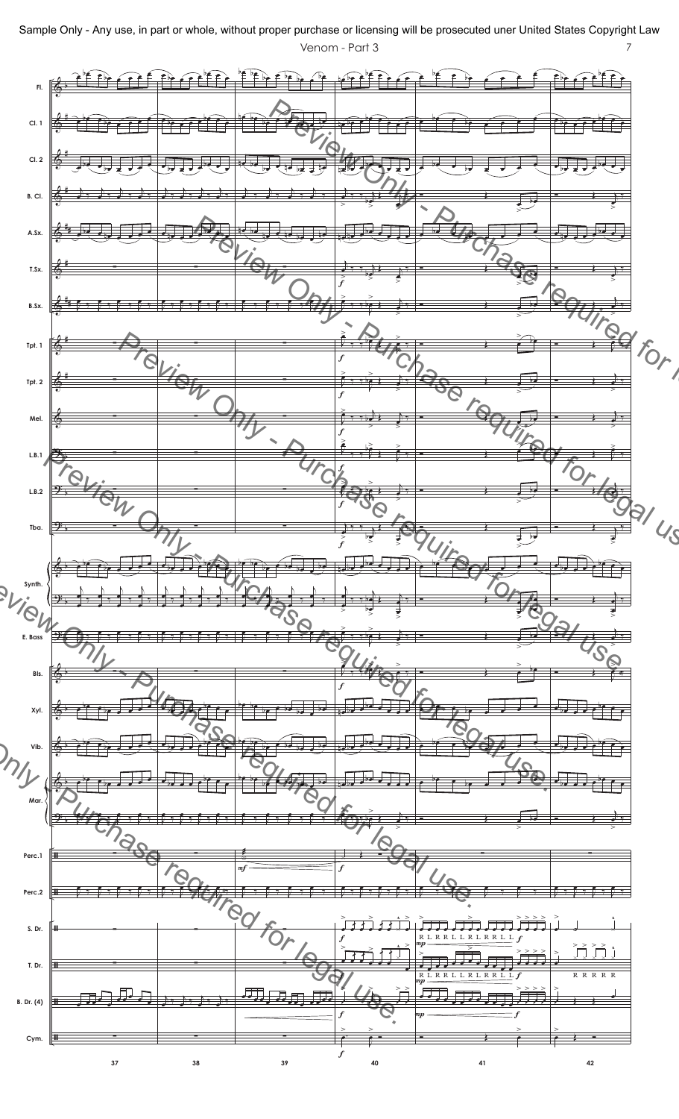Venom - Part 3 7 Sample Only - Any use, in part or whole, without proper purchase or licensing will be prosecuted uner United States Copyright Law

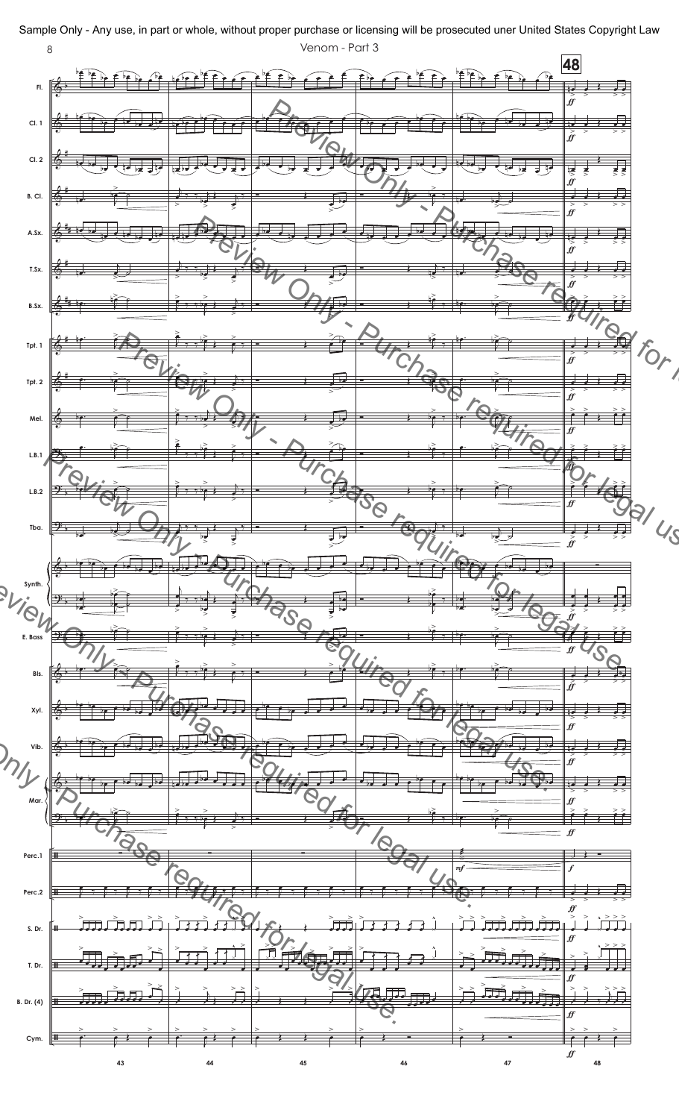

Sample Only - Any use, in part or whole, without proper purchase or licensing will be prosecuted uner United States Copyright Law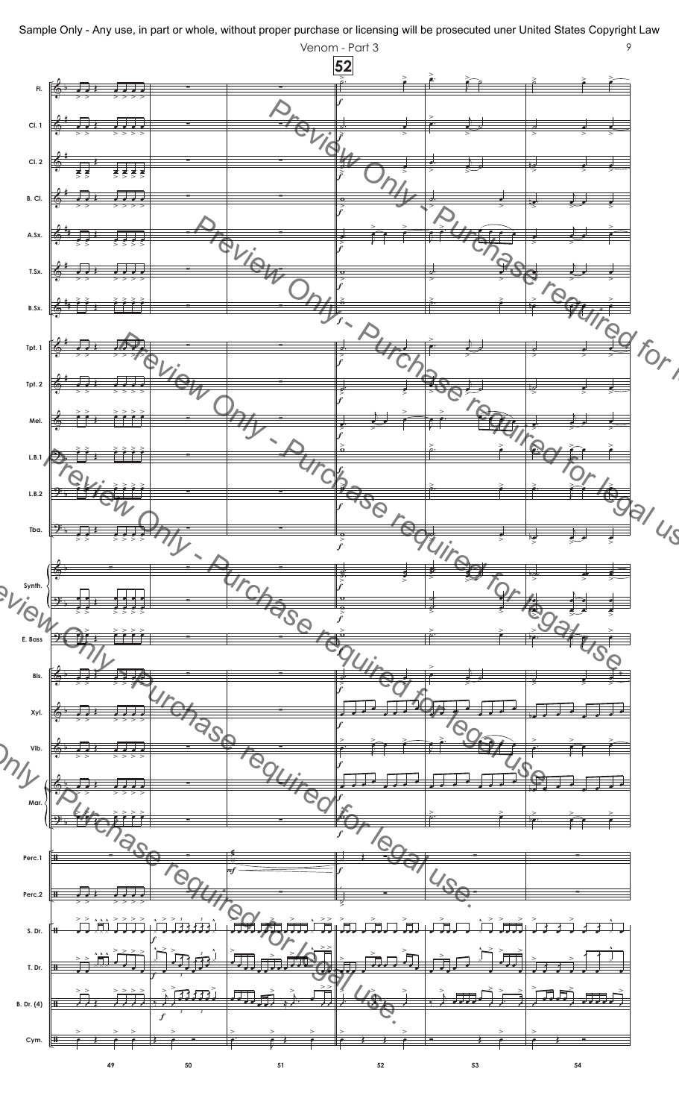

Venom - Part 3 9 Sample Only - Any use, in part or whole, without proper purchase or licensing will be prosecuted uner United States Copyright Law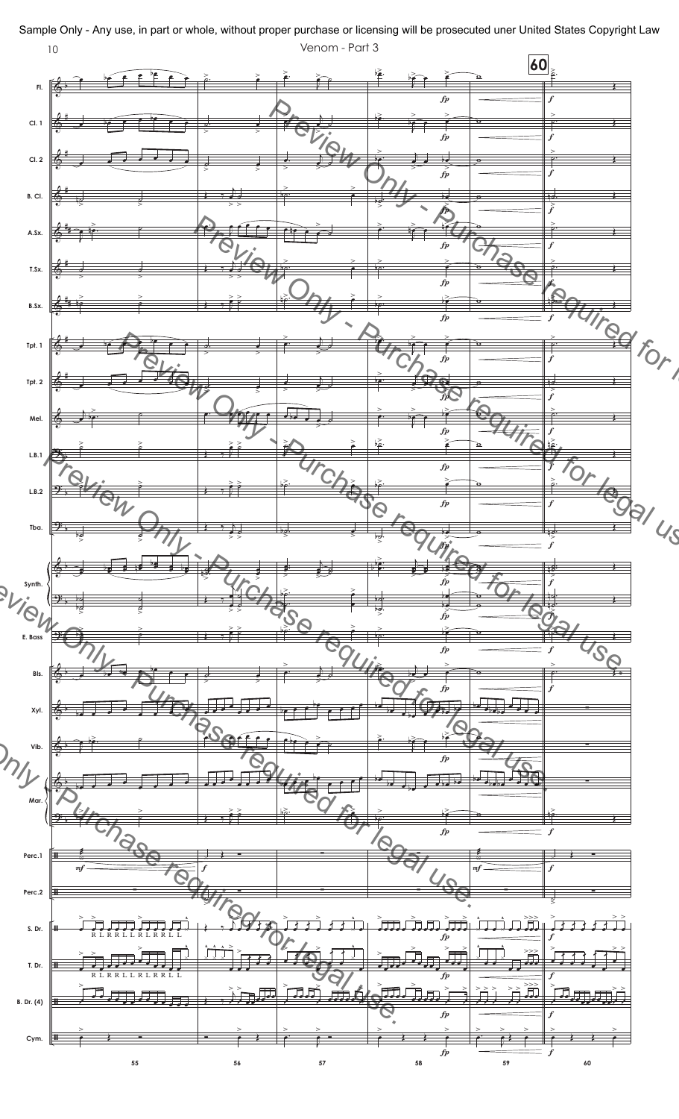

Sample Only - Any use, in part or whole, without proper purchase or licensing will be prosecuted uner United States Copyright Law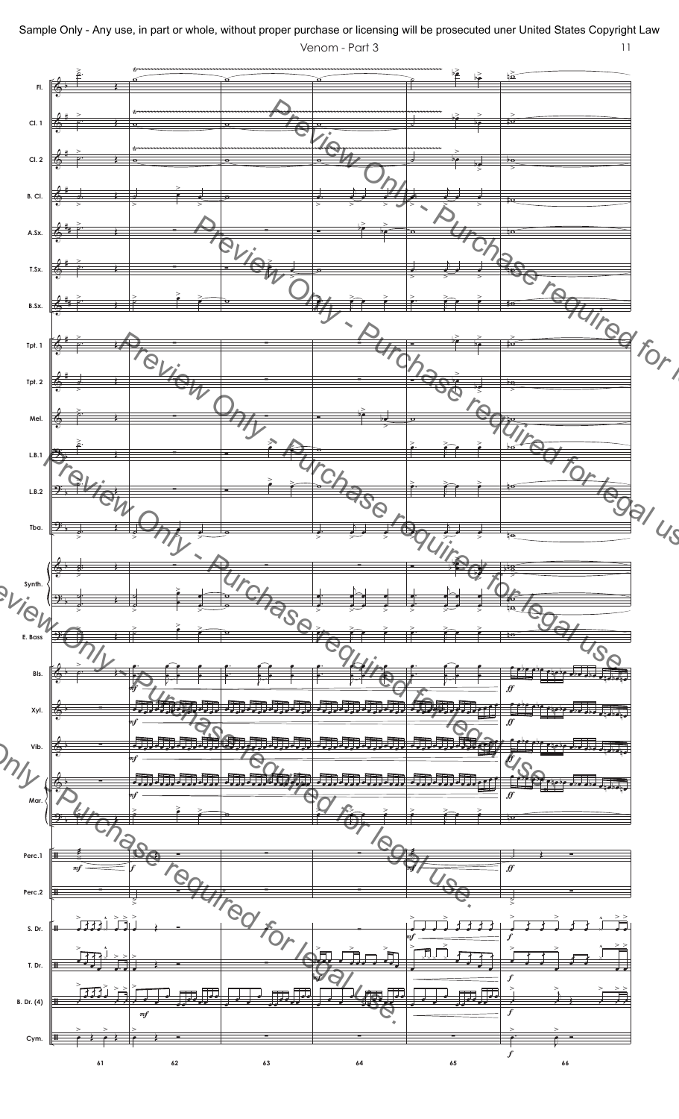